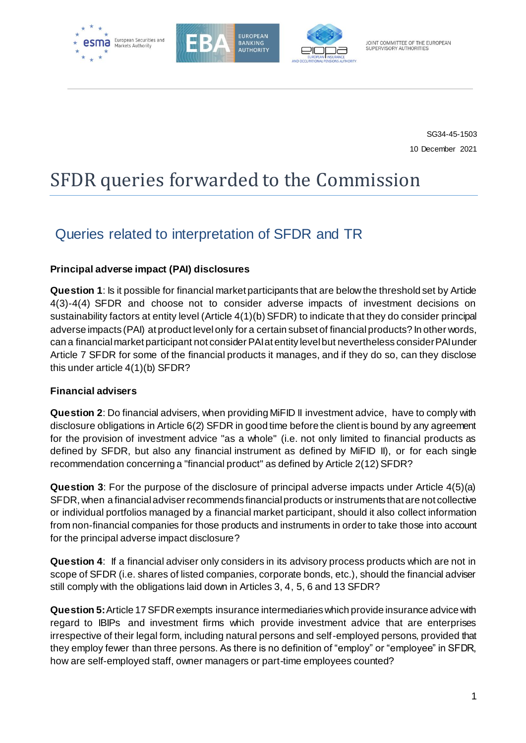





SG34-45-1503 10 December 2021

# SFDR queries forwarded to the Commission

# Queries related to interpretation of SFDR and TR

# **Principal adverse impact (PAI) disclosures**

**Question 1**: Is it possible for financial market participants that are below the threshold set by Article 4(3)-4(4) SFDR and choose not to consider adverse impacts of investment decisions on sustainability factors at entity level (Article 4(1)(b) SFDR) to indicate that they do consider principal adverse impacts (PAI) at product level only for a certain subset of financial products? In other words, can a financial market participant not consider PAI at entity level but nevertheless consider PAIunder Article 7 SFDR for some of the financial products it manages, and if they do so, can they disclose this under article 4(1)(b) SFDR?

## **Financial advisers**

**Question 2**: Do financial advisers, when providing MiFID II investment advice, have to comply with disclosure obligations in Article 6(2) SFDR in good time before the client is bound by any agreement for the provision of investment advice "as a whole" (i.e. not only limited to financial products as defined by SFDR, but also any financial instrument as defined by MiFID II), or for each single recommendation concerning a "financial product" as defined by Article 2(12) SFDR?

**Question 3**: For the purpose of the disclosure of principal adverse impacts under Article 4(5)(a) SFDR, when a financial adviser recommends financial products or instruments that are not collective or individual portfolios managed by a financial market participant, should it also collect information from non-financial companies for those products and instruments in order to take those into account for the principal adverse impact disclosure?

**Question 4**: If a financial adviser only considers in its advisory process products which are not in scope of SFDR (i.e. shares of listed companies, corporate bonds, etc.), should the financial adviser still comply with the obligations laid down in Articles 3, 4, 5, 6 and 13 SFDR?

**Question 5:**Article 17 SFDR exempts insurance intermediaries which provide insurance advice with regard to IBIPs and investment firms which provide investment advice that are enterprises irrespective of their legal form, including natural persons and self-employed persons, provided that they employ fewer than three persons. As there is no definition of "employ" or "employee" in SFDR, how are self-employed staff, owner managers or part-time employees counted?